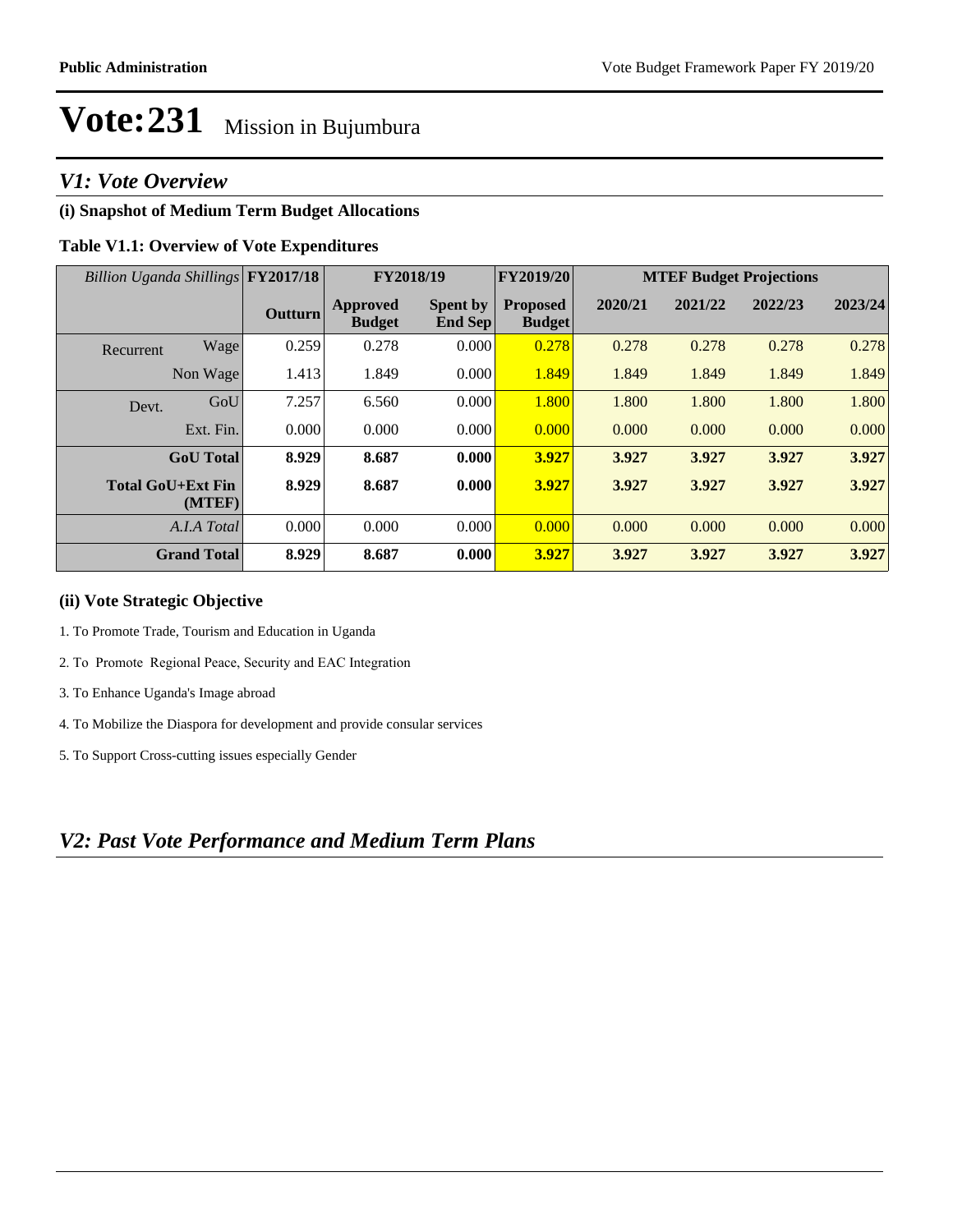# *V1: Vote Overview*

# **(i) Snapshot of Medium Term Budget Allocations**

# **Table V1.1: Overview of Vote Expenditures**

|                          | Billion Uganda Shillings FY2017/18 |                |                           | FY2019/20<br>FY2018/19            |                                  |         |         | <b>MTEF Budget Projections</b> |         |
|--------------------------|------------------------------------|----------------|---------------------------|-----------------------------------|----------------------------------|---------|---------|--------------------------------|---------|
|                          |                                    | <b>Outturn</b> | Approved<br><b>Budget</b> | <b>Spent by</b><br><b>End Sep</b> | <b>Proposed</b><br><b>Budget</b> | 2020/21 | 2021/22 | 2022/23                        | 2023/24 |
| Recurrent                | Wage                               | 0.259          | 0.278                     | 0.000                             | 0.278                            | 0.278   | 0.278   | 0.278                          | 0.278   |
|                          | Non Wage                           | 1.413          | 1.849                     | 0.000                             | 1.849                            | 1.849   | 1.849   | 1.849                          | 1.849   |
| Devt.                    | GoU                                | 7.257          | 6.560                     | 0.000                             | 1.800                            | 1.800   | 1.800   | 1.800                          | 1.800   |
|                          | Ext. Fin.                          | 0.000          | 0.000                     | 0.000                             | 0.000                            | 0.000   | 0.000   | 0.000                          | 0.000   |
|                          | <b>GoU</b> Total                   | 8.929          | 8.687                     | 0.000                             | 3.927                            | 3.927   | 3.927   | 3.927                          | 3.927   |
| <b>Total GoU+Ext Fin</b> | (MTEF)                             | 8.929          | 8.687                     | 0.000                             | 3.927                            | 3.927   | 3.927   | 3.927                          | 3.927   |
|                          | A.I.A Total                        | 0.000          | 0.000                     | 0.000                             | 0.000                            | 0.000   | 0.000   | 0.000                          | 0.000   |
|                          | <b>Grand Total</b>                 | 8.929          | 8.687                     | 0.000                             | 3.927                            | 3.927   | 3.927   | 3.927                          | 3.927   |

### **(ii) Vote Strategic Objective**

- 1. To Promote Trade, Tourism and Education in Uganda
- 2. To Promote Regional Peace, Security and EAC Integration
- 3. To Enhance Uganda's Image abroad
- 4. To Mobilize the Diaspora for development and provide consular services
- 5. To Support Cross-cutting issues especially Gender

# *V2: Past Vote Performance and Medium Term Plans*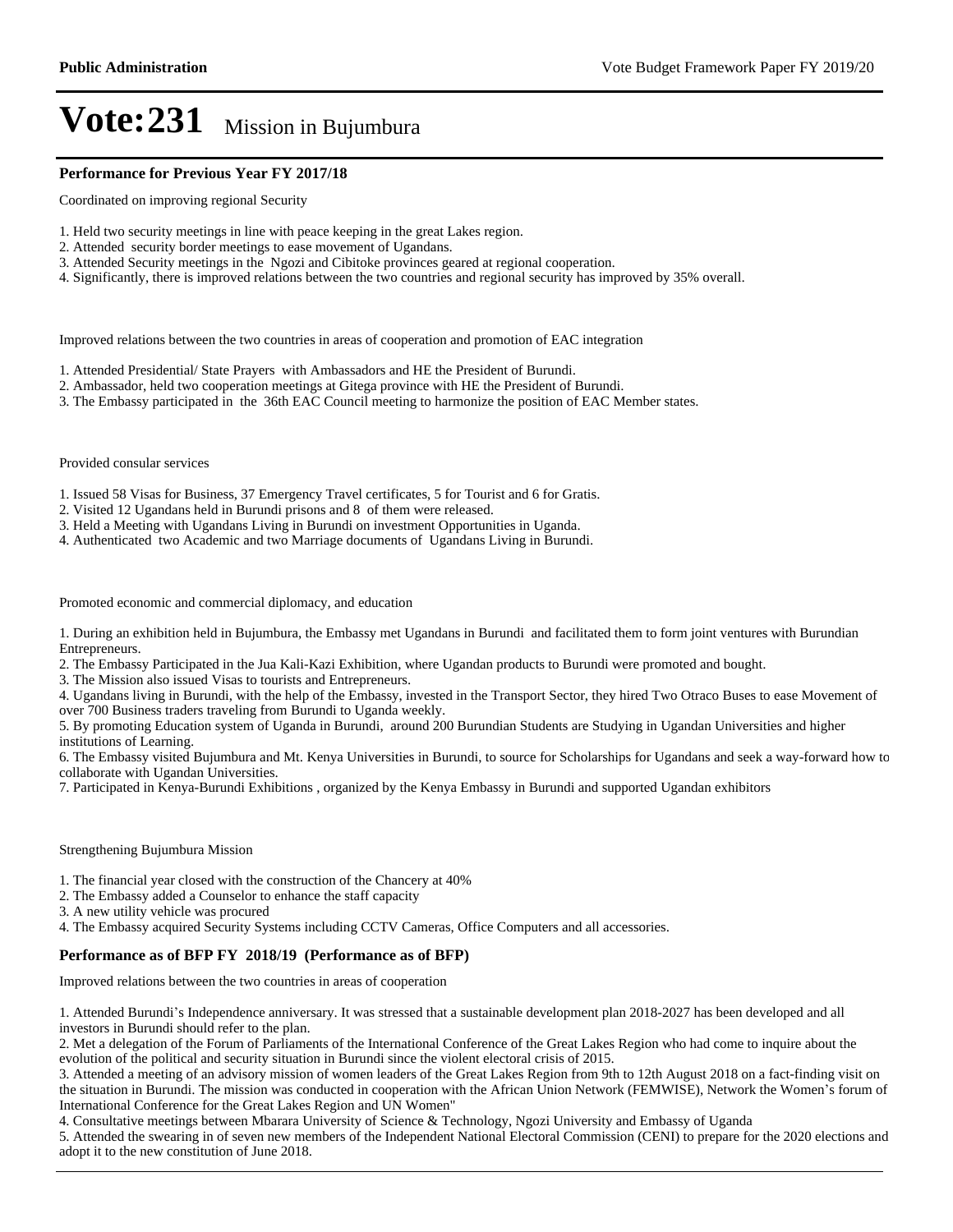#### **Performance for Previous Year FY 2017/18**

Coordinated on improving regional Security

- 1. Held two security meetings in line with peace keeping in the great Lakes region.
- 2. Attended security border meetings to ease movement of Ugandans.
- 3. Attended Security meetings in the Ngozi and Cibitoke provinces geared at regional cooperation.
- 4. Significantly, there is improved relations between the two countries and regional security has improved by 35% overall.

Improved relations between the two countries in areas of cooperation and promotion of EAC integration

- 1. Attended Presidential/ State Prayers with Ambassadors and HE the President of Burundi.
- 2. Ambassador, held two cooperation meetings at Gitega province with HE the President of Burundi.
- 3. The Embassy participated in the 36th EAC Council meeting to harmonize the position of EAC Member states.

Provided consular services

- 1. Issued 58 Visas for Business, 37 Emergency Travel certificates, 5 for Tourist and 6 for Gratis.
- 2. Visited 12 Ugandans held in Burundi prisons and 8 of them were released.
- 3. Held a Meeting with Ugandans Living in Burundi on investment Opportunities in Uganda.
- 4. Authenticated two Academic and two Marriage documents of Ugandans Living in Burundi.

Promoted economic and commercial diplomacy, and education

1. During an exhibition held in Bujumbura, the Embassy met Ugandans in Burundi and facilitated them to form joint ventures with Burundian Entrepreneurs.

2. The Embassy Participated in the Jua Kali-Kazi Exhibition, where Ugandan products to Burundi were promoted and bought.

3. The Mission also issued Visas to tourists and Entrepreneurs.

4. Ugandans living in Burundi, with the help of the Embassy, invested in the Transport Sector, they hired Two Otraco Buses to ease Movement of over 700 Business traders traveling from Burundi to Uganda weekly.

5. By promoting Education system of Uganda in Burundi, around 200 Burundian Students are Studying in Ugandan Universities and higher institutions of Learning.

6. The Embassy visited Bujumbura and Mt. Kenya Universities in Burundi, to source for Scholarships for Ugandans and seek a way-forward how to collaborate with Ugandan Universities.

7. Participated in Kenya-Burundi Exhibitions , organized by the Kenya Embassy in Burundi and supported Ugandan exhibitors

Strengthening Bujumbura Mission

1. The financial year closed with the construction of the Chancery at 40%

2. The Embassy added a Counselor to enhance the staff capacity

3. A new utility vehicle was procured

4. The Embassy acquired Security Systems including CCTV Cameras, Office Computers and all accessories.

#### **Performance as of BFP FY 2018/19 (Performance as of BFP)**

Improved relations between the two countries in areas of cooperation

1. Attended Burundi's Independence anniversary. It was stressed that a sustainable development plan 2018-2027 has been developed and all investors in Burundi should refer to the plan.

2. Met a delegation of the Forum of Parliaments of the International Conference of the Great Lakes Region who had come to inquire about the evolution of the political and security situation in Burundi since the violent electoral crisis of 2015.

3. Attended a meeting of an advisory mission of women leaders of the Great Lakes Region from 9th to 12th August 2018 on a fact-finding visit on the situation in Burundi. The mission was conducted in cooperation with the African Union Network (FEMWISE), Network the Women's forum of International Conference for the Great Lakes Region and UN Women"

4. Consultative meetings between Mbarara University of Science & Technology, Ngozi University and Embassy of Uganda

5. Attended the swearing in of seven new members of the Independent National Electoral Commission (CENI) to prepare for the 2020 elections and adopt it to the new constitution of June 2018.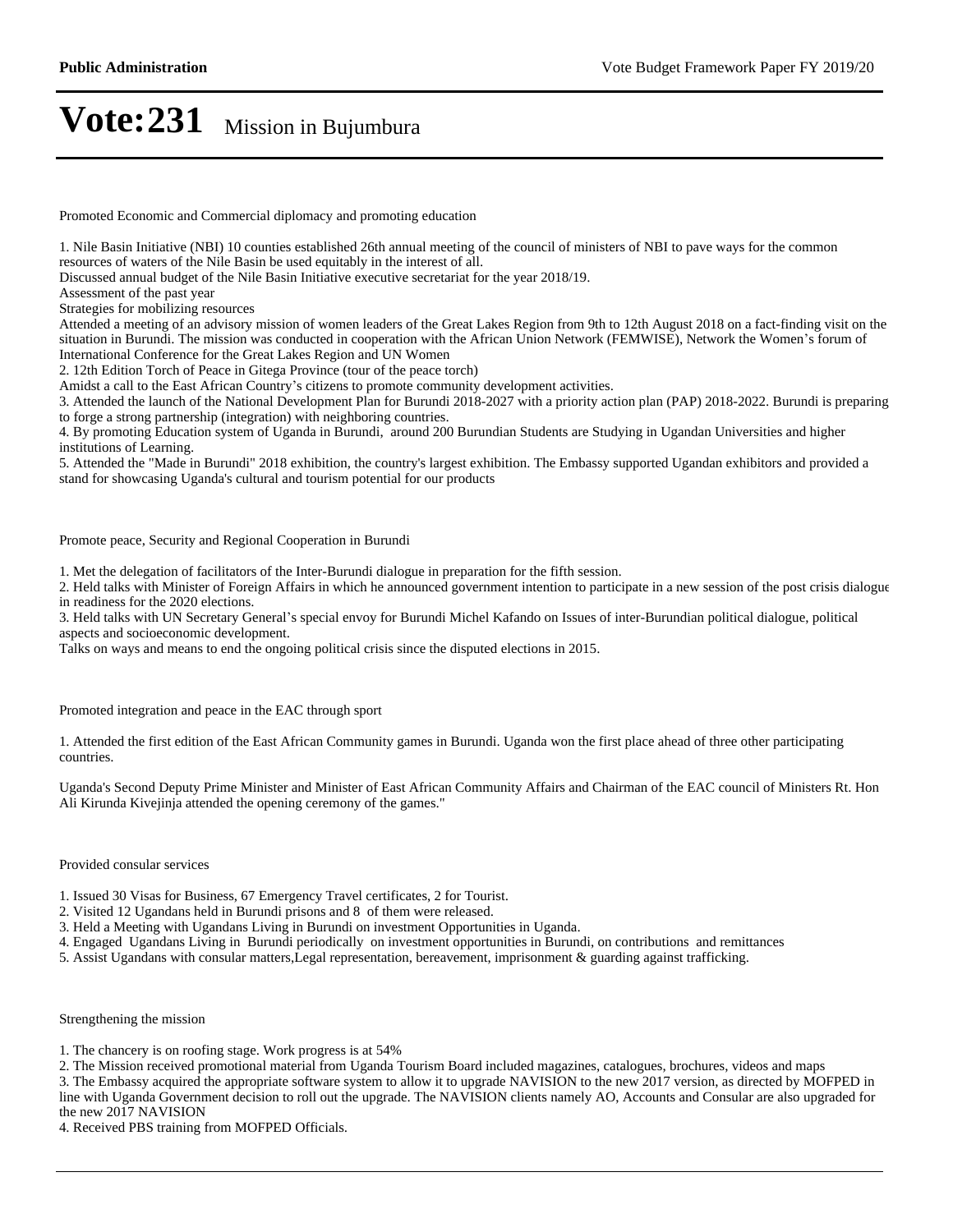Promoted Economic and Commercial diplomacy and promoting education

1. Nile Basin Initiative (NBI) 10 counties established 26th annual meeting of the council of ministers of NBI to pave ways for the common resources of waters of the Nile Basin be used equitably in the interest of all.

Discussed annual budget of the Nile Basin Initiative executive secretariat for the year 2018/19.

Assessment of the past year

Strategies for mobilizing resources

Attended a meeting of an advisory mission of women leaders of the Great Lakes Region from 9th to 12th August 2018 on a fact-finding visit on the situation in Burundi. The mission was conducted in cooperation with the African Union Network (FEMWISE), Network the Women's forum of International Conference for the Great Lakes Region and UN Women

2. 12th Edition Torch of Peace in Gitega Province (tour of the peace torch)

Amidst a call to the East African Country's citizens to promote community development activities.

3. Attended the launch of the National Development Plan for Burundi 2018-2027 with a priority action plan (PAP) 2018-2022. Burundi is preparing to forge a strong partnership (integration) with neighboring countries.

4. By promoting Education system of Uganda in Burundi, around 200 Burundian Students are Studying in Ugandan Universities and higher institutions of Learning.

5. Attended the "Made in Burundi" 2018 exhibition, the country's largest exhibition. The Embassy supported Ugandan exhibitors and provided a stand for showcasing Uganda's cultural and tourism potential for our products

Promote peace, Security and Regional Cooperation in Burundi

1. Met the delegation of facilitators of the Inter-Burundi dialogue in preparation for the fifth session.

2. Held talks with Minister of Foreign Affairs in which he announced government intention to participate in a new session of the post crisis dialogue in readiness for the 2020 elections.

3. Held talks with UN Secretary General's special envoy for Burundi Michel Kafando on Issues of inter-Burundian political dialogue, political aspects and socioeconomic development.

Talks on ways and means to end the ongoing political crisis since the disputed elections in 2015.

Promoted integration and peace in the EAC through sport

1. Attended the first edition of the East African Community games in Burundi. Uganda won the first place ahead of three other participating countries.

Uganda's Second Deputy Prime Minister and Minister of East African Community Affairs and Chairman of the EAC council of Ministers Rt. Hon Ali Kirunda Kivejinja attended the opening ceremony of the games."

Provided consular services

1. Issued 30 Visas for Business, 67 Emergency Travel certificates, 2 for Tourist.

2. Visited 12 Ugandans held in Burundi prisons and 8 of them were released.

3. Held a Meeting with Ugandans Living in Burundi on investment Opportunities in Uganda.

4. Engaged Ugandans Living in Burundi periodically on investment opportunities in Burundi, on contributions and remittances

5. Assist Ugandans with consular matters,Legal representation, bereavement, imprisonment & guarding against trafficking.

Strengthening the mission

1. The chancery is on roofing stage. Work progress is at 54%

2. The Mission received promotional material from Uganda Tourism Board included magazines, catalogues, brochures, videos and maps 3. The Embassy acquired the appropriate software system to allow it to upgrade NAVISION to the new 2017 version, as directed by MOFPED in line with Uganda Government decision to roll out the upgrade. The NAVISION clients namely AO, Accounts and Consular are also upgraded for

the new 2017 NAVISION

4. Received PBS training from MOFPED Officials.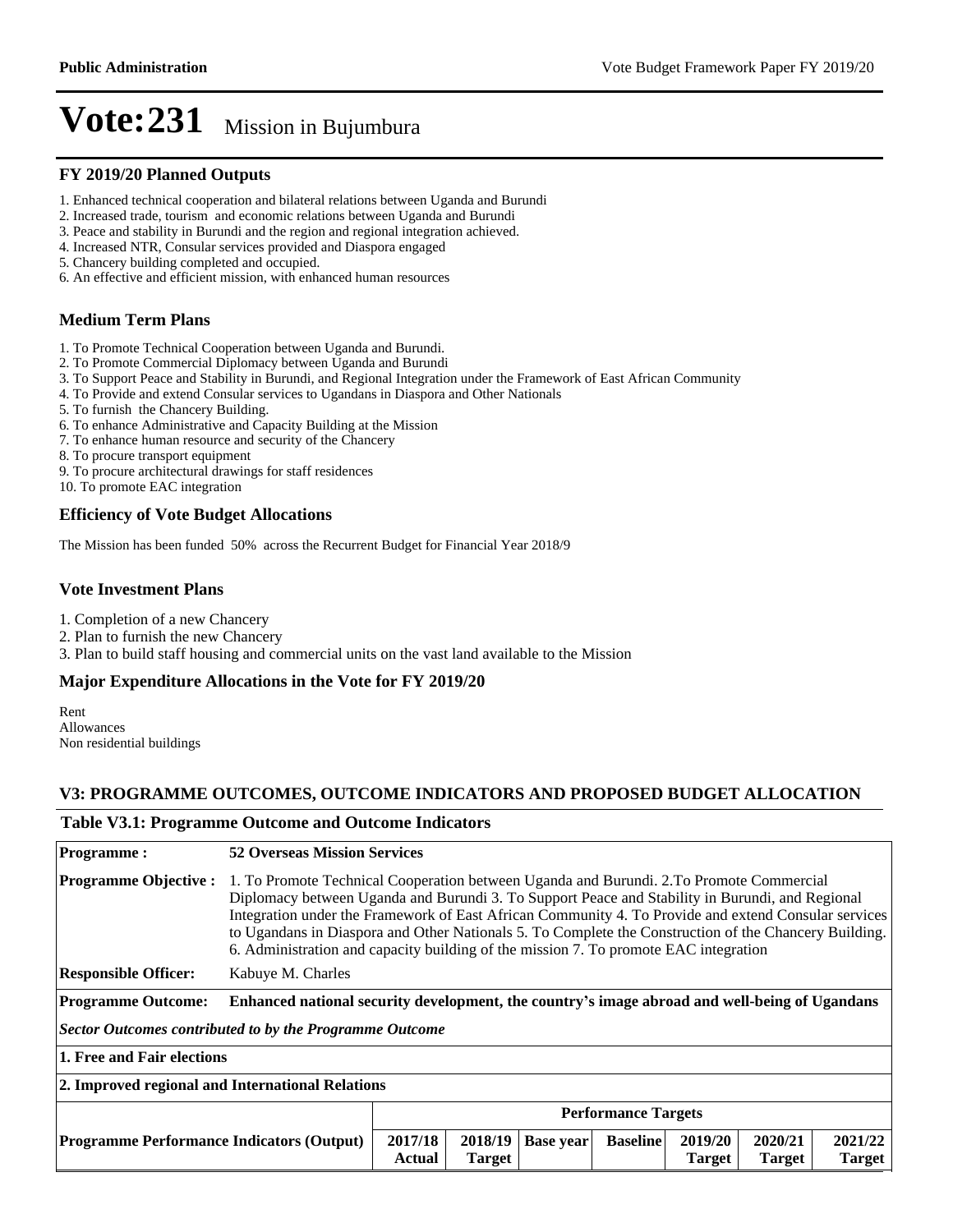#### **FY 2019/20 Planned Outputs**

- 1. Enhanced technical cooperation and bilateral relations between Uganda and Burundi
- 2. Increased trade, tourism and economic relations between Uganda and Burundi
- 3. Peace and stability in Burundi and the region and regional integration achieved.
- 4. Increased NTR, Consular services provided and Diaspora engaged
- 5. Chancery building completed and occupied.
- 6. An effective and efficient mission, with enhanced human resources

# **Medium Term Plans**

- 1. To Promote Technical Cooperation between Uganda and Burundi.
- 2. To Promote Commercial Diplomacy between Uganda and Burundi
- 3. To Support Peace and Stability in Burundi, and Regional Integration under the Framework of East African Community
- 4. To Provide and extend Consular services to Ugandans in Diaspora and Other Nationals
- 5. To furnish the Chancery Building.
- 6. To enhance Administrative and Capacity Building at the Mission
- 7. To enhance human resource and security of the Chancery
- 8. To procure transport equipment
- 9. To procure architectural drawings for staff residences
- 10. To promote EAC integration

#### **Efficiency of Vote Budget Allocations**

The Mission has been funded 50% across the Recurrent Budget for Financial Year 2018/9

#### **Vote Investment Plans**

- 1. Completion of a new Chancery
- 2. Plan to furnish the new Chancery
- 3. Plan to build staff housing and commercial units on the vast land available to the Mission

#### **Major Expenditure Allocations in the Vote for FY 2019/20**

Rent Allowances Non residential buildings

#### **V3: PROGRAMME OUTCOMES, OUTCOME INDICATORS AND PROPOSED BUDGET ALLOCATION**

#### **Table V3.1: Programme Outcome and Outcome Indicators**

| <b>Programme:</b>                                       | <b>52 Overseas Mission Services</b>                                                                                                                                                                                                                                                                                                                                                                                                                                                                  |                            |                  |                 |                          |                          |                          |  |
|---------------------------------------------------------|------------------------------------------------------------------------------------------------------------------------------------------------------------------------------------------------------------------------------------------------------------------------------------------------------------------------------------------------------------------------------------------------------------------------------------------------------------------------------------------------------|----------------------------|------------------|-----------------|--------------------------|--------------------------|--------------------------|--|
| <b>Programme Objective:</b>                             | 1. To Promote Technical Cooperation between Uganda and Burundi. 2. To Promote Commercial<br>Diplomacy between Uganda and Burundi 3. To Support Peace and Stability in Burundi, and Regional<br>Integration under the Framework of East African Community 4. To Provide and extend Consular services<br>to Ugandans in Diaspora and Other Nationals 5. To Complete the Construction of the Chancery Building.<br>6. Administration and capacity building of the mission 7. To promote EAC integration |                            |                  |                 |                          |                          |                          |  |
| <b>Responsible Officer:</b>                             | Kabuye M. Charles                                                                                                                                                                                                                                                                                                                                                                                                                                                                                    |                            |                  |                 |                          |                          |                          |  |
| <b>Programme Outcome:</b>                               | Enhanced national security development, the country's image abroad and well-being of Ugandans                                                                                                                                                                                                                                                                                                                                                                                                        |                            |                  |                 |                          |                          |                          |  |
| Sector Outcomes contributed to by the Programme Outcome |                                                                                                                                                                                                                                                                                                                                                                                                                                                                                                      |                            |                  |                 |                          |                          |                          |  |
|                                                         | 1. Free and Fair elections                                                                                                                                                                                                                                                                                                                                                                                                                                                                           |                            |                  |                 |                          |                          |                          |  |
| 2. Improved regional and International Relations        |                                                                                                                                                                                                                                                                                                                                                                                                                                                                                                      |                            |                  |                 |                          |                          |                          |  |
|                                                         |                                                                                                                                                                                                                                                                                                                                                                                                                                                                                                      | <b>Performance Targets</b> |                  |                 |                          |                          |                          |  |
| <b>Programme Performance Indicators (Output)</b>        | 2017/18<br>Actual                                                                                                                                                                                                                                                                                                                                                                                                                                                                                    | 2018/19<br><b>Target</b>   | <b>Base year</b> | <b>Baseline</b> | 2019/20<br><b>Target</b> | 2020/21<br><b>Target</b> | 2021/22<br><b>Target</b> |  |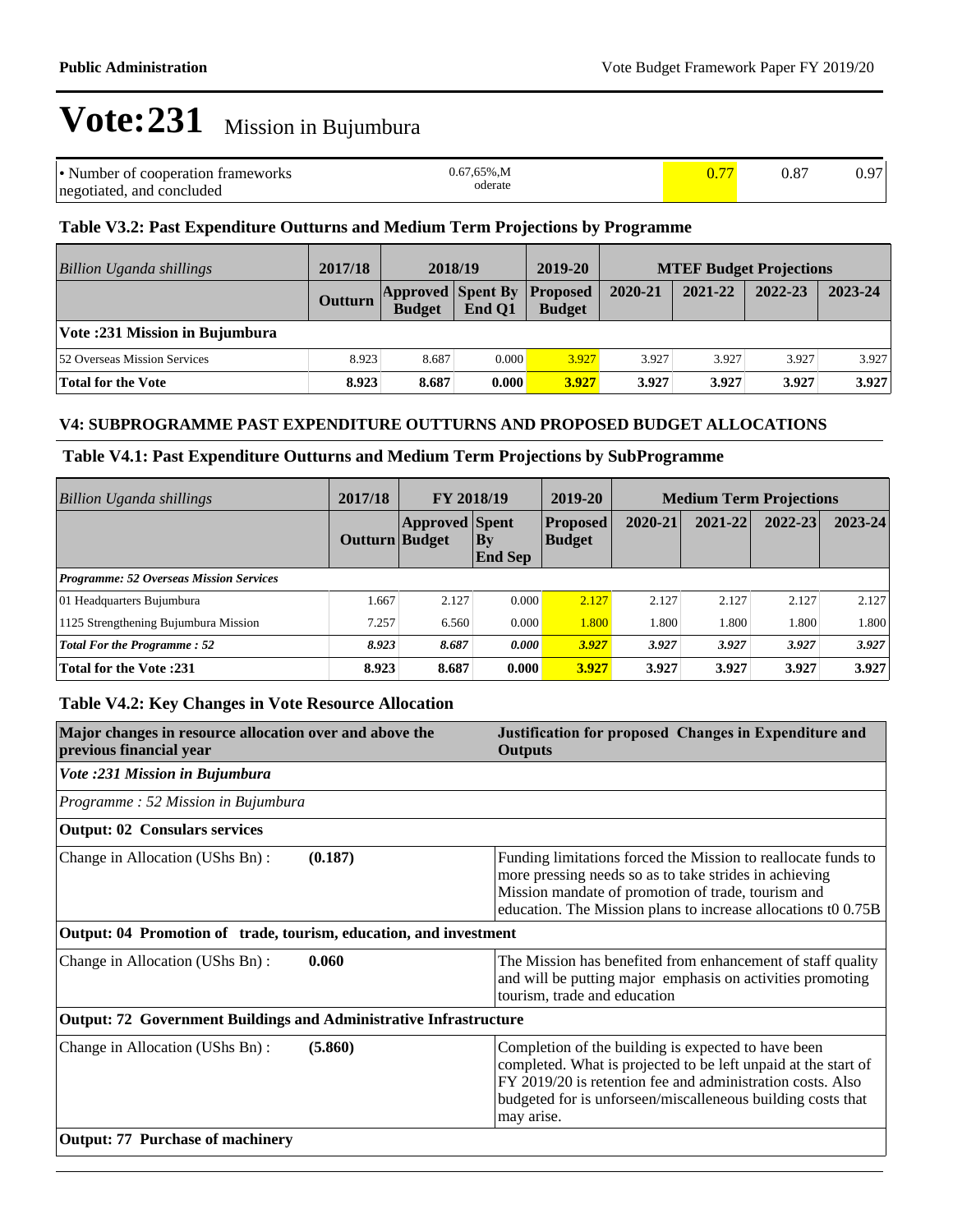| • Number of cooperation frameworks | $0.67.65\%$ .M |  | 0.97 |
|------------------------------------|----------------|--|------|
| negotiated, and concluded          | oderate        |  |      |

# **Table V3.2: Past Expenditure Outturns and Medium Term Projections by Programme**

| Billion Uganda shillings       | 2017/18        | 2018/19                                            |        | 2019-20       |         | <b>MTEF Budget Projections</b> |         |         |
|--------------------------------|----------------|----------------------------------------------------|--------|---------------|---------|--------------------------------|---------|---------|
|                                | <b>Outturn</b> | <b>Approved Spent By Proposed</b><br><b>Budget</b> | End O1 | <b>Budget</b> | 2020-21 | 2021-22                        | 2022-23 | 2023-24 |
| Vote: 231 Mission in Bujumbura |                |                                                    |        |               |         |                                |         |         |
| 52 Overseas Mission Services   | 8.923          | 8.687                                              | 0.000  | 3.927         | 3.927   | 3.927                          | 3.927   | 3.927   |
| <b>Total for the Vote</b>      | 8.923          | 8.687                                              | 0.000  | 3.927         | 3.927   | 3.927                          | 3.927   | 3.927   |

### **V4: SUBPROGRAMME PAST EXPENDITURE OUTTURNS AND PROPOSED BUDGET ALLOCATIONS**

#### **Table V4.1: Past Expenditure Outturns and Medium Term Projections by SubProgramme**

| 2017/18<br><b>Billion Uganda shillings</b>     |                       | <b>FY 2018/19</b>     |                             | 2019-20                          | <b>Medium Term Projections</b> |         |             |             |
|------------------------------------------------|-----------------------|-----------------------|-----------------------------|----------------------------------|--------------------------------|---------|-------------|-------------|
|                                                | <b>Outturn Budget</b> | <b>Approved Spent</b> | $\bf{By}$<br><b>End Sep</b> | <b>Proposed</b><br><b>Budget</b> | 2020-21                        | 2021-22 | $2022 - 23$ | $2023 - 24$ |
| <b>Programme: 52 Overseas Mission Services</b> |                       |                       |                             |                                  |                                |         |             |             |
| 01 Headquarters Bujumbura                      | 1.667                 | 2.127                 | 0.000                       | 2.127                            | 2.127                          | 2.127   | 2.127       | 2.127       |
| 1125 Strengthening Bujumbura Mission           | 7.257                 | 6.560                 | 0.000                       | 1.800                            | 1.800                          | 1.800   | 1.800       | 1.800       |
| <b>Total For the Programme: 52</b>             | 8.923                 | 8.687                 | 0.000                       | 3.927                            | 3.927                          | 3.927   | 3.927       | 3.927       |
| <b>Total for the Vote:231</b>                  | 8.923                 | 8.687                 | 0.000                       | 3.927                            | 3.927                          | 3.927   | 3.927       | 3.927       |

### **Table V4.2: Key Changes in Vote Resource Allocation**

| Major changes in resource allocation over and above the<br>previous financial year | Justification for proposed Changes in Expenditure and<br><b>Outputs</b>                                                                                                                                                                                          |
|------------------------------------------------------------------------------------|------------------------------------------------------------------------------------------------------------------------------------------------------------------------------------------------------------------------------------------------------------------|
| Vote :231 Mission in Bujumbura                                                     |                                                                                                                                                                                                                                                                  |
| Programme: 52 Mission in Bujumbura                                                 |                                                                                                                                                                                                                                                                  |
| <b>Output: 02 Consulars services</b>                                               |                                                                                                                                                                                                                                                                  |
| Change in Allocation (UShs Bn):<br>(0.187)                                         | Funding limitations forced the Mission to reallocate funds to<br>more pressing needs so as to take strides in achieving<br>Mission mandate of promotion of trade, tourism and<br>education. The Mission plans to increase allocations t0 0.75B                   |
| Output: 04 Promotion of trade, tourism, education, and investment                  |                                                                                                                                                                                                                                                                  |
| 0.060<br>Change in Allocation (UShs Bn):                                           | The Mission has benefited from enhancement of staff quality<br>and will be putting major emphasis on activities promoting<br>tourism, trade and education                                                                                                        |
| Output: 72 Government Buildings and Administrative Infrastructure                  |                                                                                                                                                                                                                                                                  |
| Change in Allocation (UShs Bn):<br>(5.860)                                         | Completion of the building is expected to have been<br>completed. What is projected to be left unpaid at the start of<br>FY 2019/20 is retention fee and administration costs. Also<br>budgeted for is unforseen/miscalleneous building costs that<br>may arise. |
| <b>Output: 77 Purchase of machinery</b>                                            |                                                                                                                                                                                                                                                                  |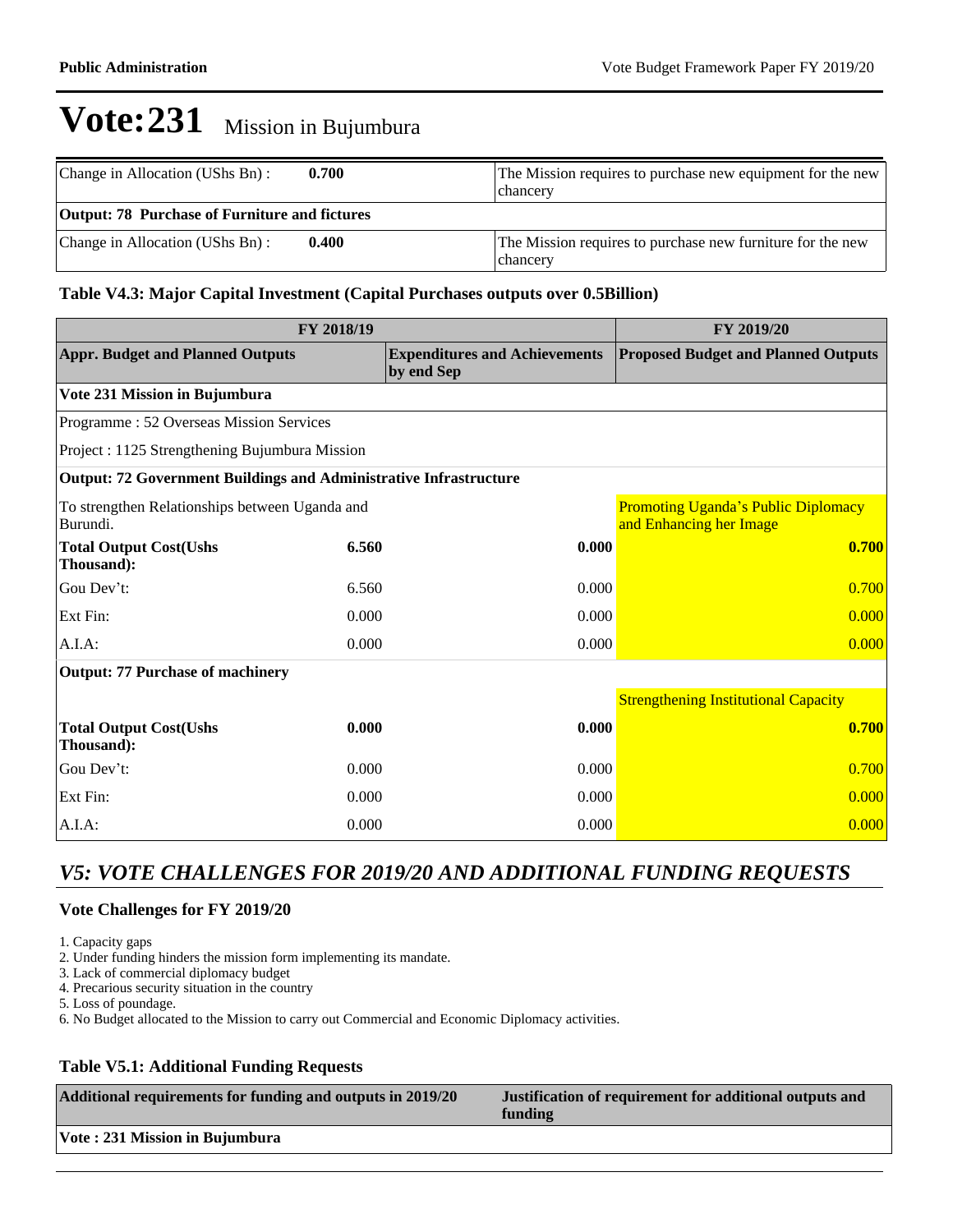| Change in Allocation (UShs Bn):                      | 0.700 | The Mission requires to purchase new equipment for the new<br>chancery |
|------------------------------------------------------|-------|------------------------------------------------------------------------|
| <b>Output: 78 Purchase of Furniture and fictures</b> |       |                                                                        |
| Change in Allocation (UShs Bn):                      | 0.400 | The Mission requires to purchase new furniture for the new<br>chancery |

### **Table V4.3: Major Capital Investment (Capital Purchases outputs over 0.5Billion)**

|                                                                          | FY 2019/20 |                                                    |                                                                       |
|--------------------------------------------------------------------------|------------|----------------------------------------------------|-----------------------------------------------------------------------|
| <b>Appr. Budget and Planned Outputs</b>                                  |            | <b>Expenditures and Achievements</b><br>by end Sep | <b>Proposed Budget and Planned Outputs</b>                            |
| Vote 231 Mission in Bujumbura                                            |            |                                                    |                                                                       |
| Programme: 52 Overseas Mission Services                                  |            |                                                    |                                                                       |
| Project : 1125 Strengthening Bujumbura Mission                           |            |                                                    |                                                                       |
| <b>Output: 72 Government Buildings and Administrative Infrastructure</b> |            |                                                    |                                                                       |
| To strengthen Relationships between Uganda and<br>Burundi.               |            |                                                    | <b>Promoting Uganda's Public Diplomacy</b><br>and Enhancing her Image |
| <b>Total Output Cost(Ushs</b><br>Thousand):                              | 6.560      | 0.000                                              | 0.700                                                                 |
| Gou Dev't:                                                               | 6.560      | 0.000                                              | 0.700                                                                 |
| Ext Fin:                                                                 | 0.000      | 0.000                                              | 0.000                                                                 |
| A.I.A:                                                                   | 0.000      | 0.000                                              | 0.000                                                                 |
| <b>Output: 77 Purchase of machinery</b>                                  |            |                                                    |                                                                       |
|                                                                          |            |                                                    | <b>Strengthening Institutional Capacity</b>                           |
| <b>Total Output Cost(Ushs</b><br>Thousand):                              | 0.000      | 0.000                                              | 0.700                                                                 |
| Gou Dev't:                                                               | 0.000      | 0.000                                              | 0.700                                                                 |
| Ext Fin:                                                                 | 0.000      | 0.000                                              | 0.000                                                                 |
| A.I.A.                                                                   | 0.000      | 0.000                                              | 0.000                                                                 |

# *V5: VOTE CHALLENGES FOR 2019/20 AND ADDITIONAL FUNDING REQUESTS*

#### **Vote Challenges for FY 2019/20**

1. Capacity gaps

2. Under funding hinders the mission form implementing its mandate.

3. Lack of commercial diplomacy budget

4. Precarious security situation in the country

5. Loss of poundage.

6. No Budget allocated to the Mission to carry out Commercial and Economic Diplomacy activities.

# **Table V5.1: Additional Funding Requests**

| Additional requirements for funding and outputs in 2019/20 | Justification of requirement for additional outputs and<br>funding |
|------------------------------------------------------------|--------------------------------------------------------------------|
| Vote: 231 Mission in Bujumbura                             |                                                                    |